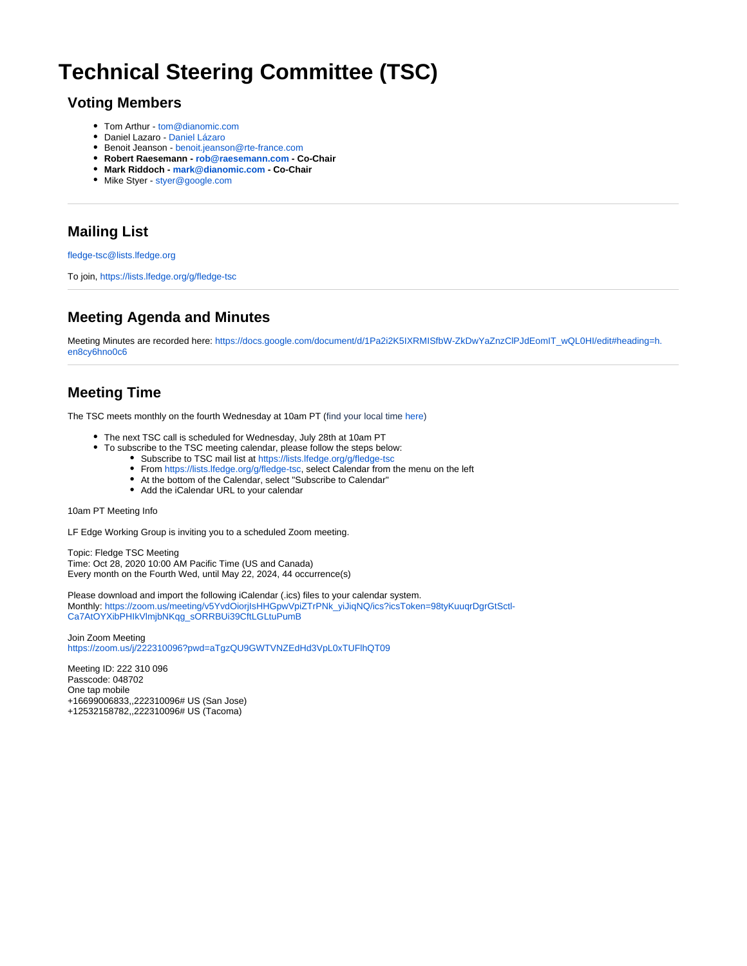# **Technical Steering Committee (TSC)**

#### **Voting Members**

- Tom Arthur [tom@dianomic.com](mailto:tom@dianomic.com)
- Daniel Lazaro - [Daniel Lázaro](https://wiki.lfedge.org/display/~dlazaro)
- Benoit Jeanson [benoit.jeanson@rte-france.com](mailto:benoit.jeanson@rte-france.com)
- **Robert Raesemann [rob@raesemann.com](mailto:rob@raesemann.com) Co-Chair**
- **Mark Riddoch [mark@dianomic.com](mailto:mark@dianomic.com) Co-Chair**
- Mike Styer [styer@google.com](mailto:styer@google.com)

## **Mailing List**

[fledge-tsc@lists.lfedge.org](mailto:fledge-tsc@lists.lfedge.org)

To join,<https://lists.lfedge.org/g/fledge-tsc>

### **Meeting Agenda and Minutes**

Meeting Minutes are recorded here: [https://docs.google.com/document/d/1Pa2i2K5IXRMISfbW-ZkDwYaZnzClPJdEomIT\\_wQL0HI/edit#heading=h.](https://docs.google.com/document/d/1Pa2i2K5IXRMISfbW-ZkDwYaZnzClPJdEomIT_wQL0HI/edit#heading=h.en8cy6hno0c6) [en8cy6hno0c6](https://docs.google.com/document/d/1Pa2i2K5IXRMISfbW-ZkDwYaZnzClPJdEomIT_wQL0HI/edit#heading=h.en8cy6hno0c6)

#### **Meeting Time**

The TSC meets monthly on the fourth Wednesday at 10am PT (find your local time [here](https://www.worldtimebuddy.com/))

- The next TSC call is scheduled for Wednesday, July 28th at 10am PT
- To subscribe to the TSC meeting calendar, please follow the steps below:
	- Subscribe to TSC mail list at <https://lists.lfedge.org/g/fledge-tsc>
	- From [https://lists.lfedge.org/g/fledge-tsc,](https://lists.lfedge.org/g/fledge-tsc) select Calendar from the menu on the left
	- At the bottom of the Calendar, select "Subscribe to Calendar"
	- Add the iCalendar URL to your calendar

#### 10am PT Meeting Info

LF Edge Working Group is inviting you to a scheduled Zoom meeting.

Topic: Fledge TSC Meeting Time: Oct 28, 2020 10:00 AM Pacific Time (US and Canada) Every month on the Fourth Wed, until May 22, 2024, 44 occurrence(s)

Please download and import the following iCalendar (.ics) files to your calendar system. Monthly: [https://zoom.us/meeting/v5YvdOiorjIsHHGpwVpiZTrPNk\\_yiJiqNQ/ics?icsToken=98tyKuuqrDgrGtSctl-](https://zoom.us/meeting/v5YvdOiorjIsHHGpwVpiZTrPNk_yiJiqNQ/ics?icsToken=98tyKuuqrDgrGtSctl-Ca7AtOYXibPHIkVlmjbNKqg_sORRBUi39CftLGLtuPumB)[Ca7AtOYXibPHIkVlmjbNKqg\\_sORRBUi39CftLGLtuPumB](https://zoom.us/meeting/v5YvdOiorjIsHHGpwVpiZTrPNk_yiJiqNQ/ics?icsToken=98tyKuuqrDgrGtSctl-Ca7AtOYXibPHIkVlmjbNKqg_sORRBUi39CftLGLtuPumB)

Join Zoom Meeting <https://zoom.us/j/222310096?pwd=aTgzQU9GWTVNZEdHd3VpL0xTUFlhQT09>

Meeting ID: 222 310 096 Passcode: 048702 One tap mobile +16699006833,,222310096# US (San Jose) +12532158782,,222310096# US (Tacoma)